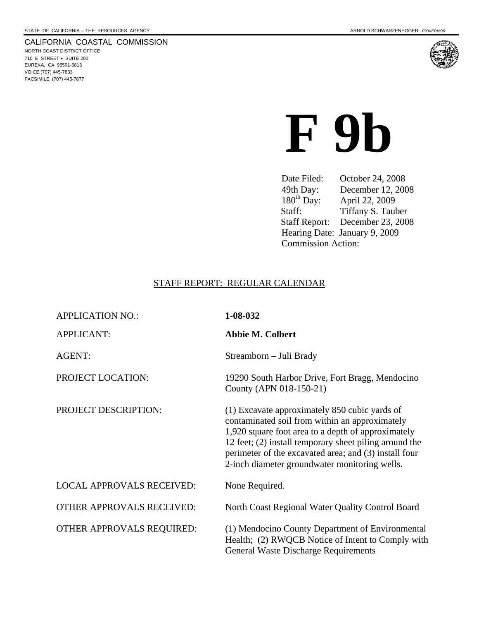#### CALIFORNIA COASTAL COMMISSION

NORTH COAST DISTRICT OFFICE 710 E STREET • SUITE 200 EUREKA, CA 95501-6813 VOICE (707) 445-7833 FACSIMILE (707) 445-7877



**F 9b** 

Date Filed: October 24, 2008<br>49th Day: December 12, 200<br>180<sup>th</sup> Day: April 22, 2009 December 12, 2008 180<sup>th</sup> Day: April 22, 2009<br>Staff: Tiffany S. Tau Tiffany S. Tauber Staff Report: December 23, 2008 Hearing Date: January 9, 2009 Commission Action:

#### STAFF REPORT: REGULAR CALENDAR

| <b>APPLICATION NO.:</b>          | 1-08-032                                                                                                                                                                                                                                                                                                                  |
|----------------------------------|---------------------------------------------------------------------------------------------------------------------------------------------------------------------------------------------------------------------------------------------------------------------------------------------------------------------------|
| <b>APPLICANT:</b>                | <b>Abbie M. Colbert</b>                                                                                                                                                                                                                                                                                                   |
| <b>AGENT:</b>                    | Streamborn - Juli Brady                                                                                                                                                                                                                                                                                                   |
| PROJECT LOCATION:                | 19290 South Harbor Drive, Fort Bragg, Mendocino<br>County (APN 018-150-21)                                                                                                                                                                                                                                                |
| PROJECT DESCRIPTION:             | (1) Excavate approximately 850 cubic yards of<br>contaminated soil from within an approximately<br>1,920 square foot area to a depth of approximately<br>12 feet; (2) install temporary sheet piling around the<br>perimeter of the excavated area; and (3) install four<br>2-inch diameter groundwater monitoring wells. |
| <b>LOCAL APPROVALS RECEIVED:</b> | None Required.                                                                                                                                                                                                                                                                                                            |
| <b>OTHER APPROVALS RECEIVED:</b> | North Coast Regional Water Quality Control Board                                                                                                                                                                                                                                                                          |
| <b>OTHER APPROVALS REQUIRED:</b> | (1) Mendocino County Department of Environmental<br>Health; (2) RWQCB Notice of Intent to Comply with<br><b>General Waste Discharge Requirements</b>                                                                                                                                                                      |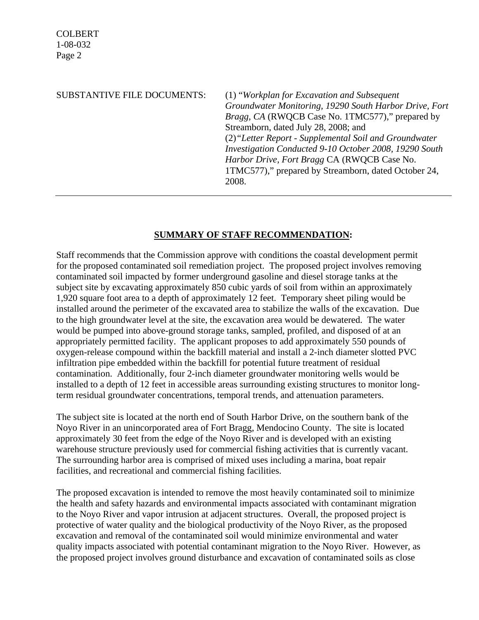## SUBSTANTIVE FILE DOCUMENTS: (1) "*Workplan for Excavation and Subsequent Groundwater Monitoring, 19290 South Harbor Drive, Fort Bragg, CA* (RWQCB Case No. 1TMC577)," prepared by Streamborn, dated July 28, 2008; and (2)*"Letter Report - Supplemental Soil and Groundwater Investigation Conducted 9-10 October 2008, 19290 South Harbor Drive, Fort Bragg* CA (RWQCB Case No. 1TMC577)," prepared by Streamborn, dated October 24, 2008.

## **SUMMARY OF STAFF RECOMMENDATION:**

Staff recommends that the Commission approve with conditions the coastal development permit for the proposed contaminated soil remediation project. The proposed project involves removing contaminated soil impacted by former underground gasoline and diesel storage tanks at the subject site by excavating approximately 850 cubic yards of soil from within an approximately 1,920 square foot area to a depth of approximately 12 feet. Temporary sheet piling would be installed around the perimeter of the excavated area to stabilize the walls of the excavation. Due to the high groundwater level at the site, the excavation area would be dewatered. The water would be pumped into above-ground storage tanks, sampled, profiled, and disposed of at an appropriately permitted facility. The applicant proposes to add approximately 550 pounds of oxygen-release compound within the backfill material and install a 2-inch diameter slotted PVC infiltration pipe embedded within the backfill for potential future treatment of residual contamination. Additionally, four 2-inch diameter groundwater monitoring wells would be installed to a depth of 12 feet in accessible areas surrounding existing structures to monitor longterm residual groundwater concentrations, temporal trends, and attenuation parameters.

The subject site is located at the north end of South Harbor Drive, on the southern bank of the Noyo River in an unincorporated area of Fort Bragg, Mendocino County. The site is located approximately 30 feet from the edge of the Noyo River and is developed with an existing warehouse structure previously used for commercial fishing activities that is currently vacant. The surrounding harbor area is comprised of mixed uses including a marina, boat repair facilities, and recreational and commercial fishing facilities.

The proposed excavation is intended to remove the most heavily contaminated soil to minimize the health and safety hazards and environmental impacts associated with contaminant migration to the Noyo River and vapor intrusion at adjacent structures. Overall, the proposed project is protective of water quality and the biological productivity of the Noyo River, as the proposed excavation and removal of the contaminated soil would minimize environmental and water quality impacts associated with potential contaminant migration to the Noyo River. However, as the proposed project involves ground disturbance and excavation of contaminated soils as close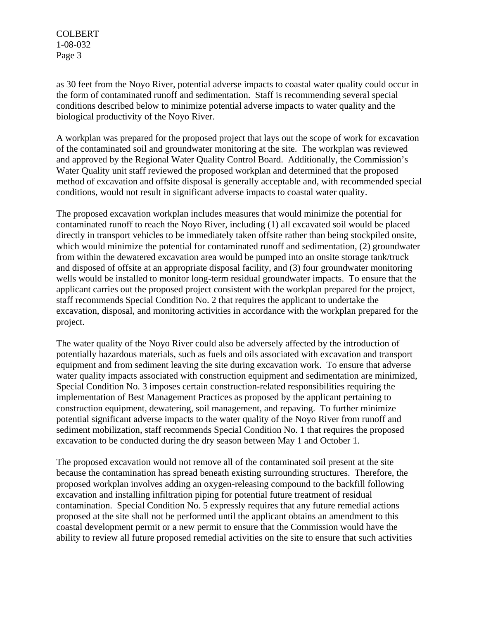as 30 feet from the Noyo River, potential adverse impacts to coastal water quality could occur in the form of contaminated runoff and sedimentation. Staff is recommending several special conditions described below to minimize potential adverse impacts to water quality and the biological productivity of the Noyo River.

A workplan was prepared for the proposed project that lays out the scope of work for excavation of the contaminated soil and groundwater monitoring at the site. The workplan was reviewed and approved by the Regional Water Quality Control Board. Additionally, the Commission's Water Quality unit staff reviewed the proposed workplan and determined that the proposed method of excavation and offsite disposal is generally acceptable and, with recommended special conditions, would not result in significant adverse impacts to coastal water quality.

The proposed excavation workplan includes measures that would minimize the potential for contaminated runoff to reach the Noyo River, including (1) all excavated soil would be placed directly in transport vehicles to be immediately taken offsite rather than being stockpiled onsite, which would minimize the potential for contaminated runoff and sedimentation, (2) groundwater from within the dewatered excavation area would be pumped into an onsite storage tank/truck and disposed of offsite at an appropriate disposal facility, and (3) four groundwater monitoring wells would be installed to monitor long-term residual groundwater impacts. To ensure that the applicant carries out the proposed project consistent with the workplan prepared for the project, staff recommends Special Condition No. 2 that requires the applicant to undertake the excavation, disposal, and monitoring activities in accordance with the workplan prepared for the project.

The water quality of the Noyo River could also be adversely affected by the introduction of potentially hazardous materials, such as fuels and oils associated with excavation and transport equipment and from sediment leaving the site during excavation work. To ensure that adverse water quality impacts associated with construction equipment and sedimentation are minimized, Special Condition No. 3 imposes certain construction-related responsibilities requiring the implementation of Best Management Practices as proposed by the applicant pertaining to construction equipment, dewatering, soil management, and repaving. To further minimize potential significant adverse impacts to the water quality of the Noyo River from runoff and sediment mobilization, staff recommends Special Condition No. 1 that requires the proposed excavation to be conducted during the dry season between May 1 and October 1.

The proposed excavation would not remove all of the contaminated soil present at the site because the contamination has spread beneath existing surrounding structures. Therefore, the proposed workplan involves adding an oxygen-releasing compound to the backfill following excavation and installing infiltration piping for potential future treatment of residual contamination. Special Condition No. 5 expressly requires that any future remedial actions proposed at the site shall not be performed until the applicant obtains an amendment to this coastal development permit or a new permit to ensure that the Commission would have the ability to review all future proposed remedial activities on the site to ensure that such activities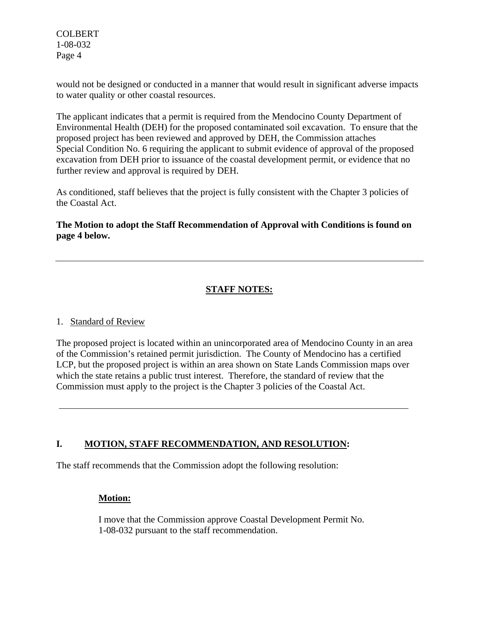would not be designed or conducted in a manner that would result in significant adverse impacts to water quality or other coastal resources.

The applicant indicates that a permit is required from the Mendocino County Department of Environmental Health (DEH) for the proposed contaminated soil excavation. To ensure that the proposed project has been reviewed and approved by DEH, the Commission attaches Special Condition No. 6 requiring the applicant to submit evidence of approval of the proposed excavation from DEH prior to issuance of the coastal development permit, or evidence that no further review and approval is required by DEH.

As conditioned, staff believes that the project is fully consistent with the Chapter 3 policies of the Coastal Act.

**The Motion to adopt the Staff Recommendation of Approval with Conditions is found on page 4 below.**

## **STAFF NOTES:**

### 1. Standard of Review

The proposed project is located within an unincorporated area of Mendocino County in an area of the Commission's retained permit jurisdiction. The County of Mendocino has a certified LCP, but the proposed project is within an area shown on State Lands Commission maps over which the state retains a public trust interest. Therefore, the standard of review that the Commission must apply to the project is the Chapter 3 policies of the Coastal Act.

## **I. MOTION, STAFF RECOMMENDATION, AND RESOLUTION:**

The staff recommends that the Commission adopt the following resolution:

## **Motion:**

I move that the Commission approve Coastal Development Permit No. 1-08-032 pursuant to the staff recommendation.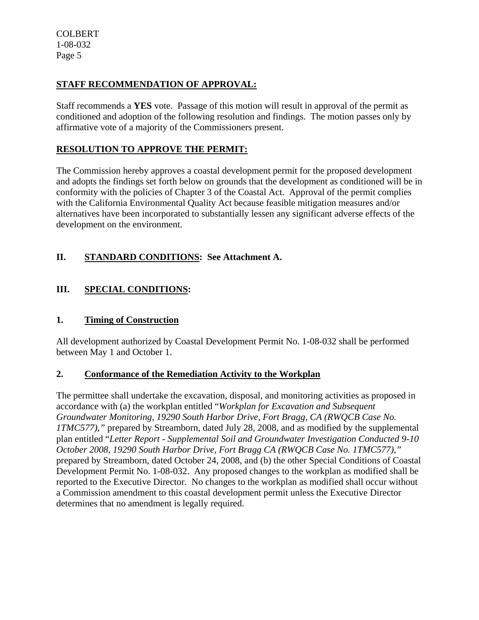## **STAFF RECOMMENDATION OF APPROVAL:**

Staff recommends a **YES** vote. Passage of this motion will result in approval of the permit as conditioned and adoption of the following resolution and findings. The motion passes only by affirmative vote of a majority of the Commissioners present.

## **RESOLUTION TO APPROVE THE PERMIT:**

The Commission hereby approves a coastal development permit for the proposed development and adopts the findings set forth below on grounds that the development as conditioned will be in conformity with the policies of Chapter 3 of the Coastal Act. Approval of the permit complies with the California Environmental Quality Act because feasible mitigation measures and/or alternatives have been incorporated to substantially lessen any significant adverse effects of the development on the environment.

## **II. STANDARD CONDITIONS: See Attachment A.**

## **III. SPECIAL CONDITIONS:**

### **1. Timing of Construction**

All development authorized by Coastal Development Permit No. 1-08-032 shall be performed between May 1 and October 1.

### **2. Conformance of the Remediation Activity to the Workplan**

The permittee shall undertake the excavation, disposal, and monitoring activities as proposed in accordance with (a) the workplan entitled "*Workplan for Excavation and Subsequent Groundwater Monitoring, 19290 South Harbor Drive, Fort Bragg, CA (RWQCB Case No. 1TMC577),"* prepared by Streamborn, dated July 28, 2008, and as modified by the supplemental plan entitled "*Letter Report - Supplemental Soil and Groundwater Investigation Conducted 9-10 October 2008, 19290 South Harbor Drive, Fort Bragg CA (RWQCB Case No. 1TMC577),"*  prepared by Streamborn, dated October 24, 2008, and (b) the other Special Conditions of Coastal Development Permit No. 1-08-032. Any proposed changes to the workplan as modified shall be reported to the Executive Director. No changes to the workplan as modified shall occur without a Commission amendment to this coastal development permit unless the Executive Director determines that no amendment is legally required.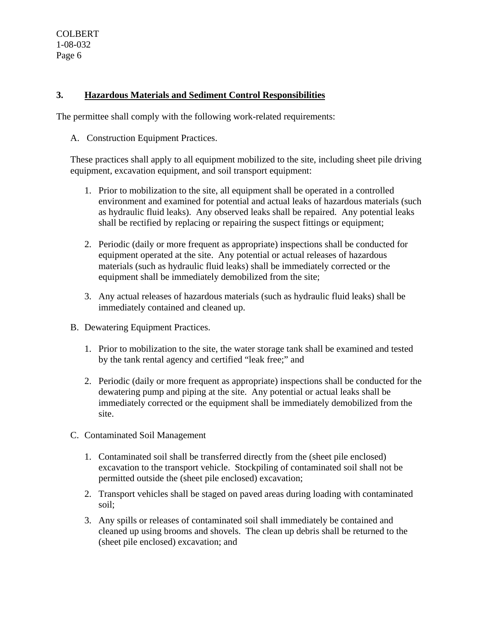## **3. Hazardous Materials and Sediment Control Responsibilities**

The permittee shall comply with the following work-related requirements:

A. Construction Equipment Practices.

These practices shall apply to all equipment mobilized to the site, including sheet pile driving equipment, excavation equipment, and soil transport equipment:

- 1. Prior to mobilization to the site, all equipment shall be operated in a controlled environment and examined for potential and actual leaks of hazardous materials (such as hydraulic fluid leaks). Any observed leaks shall be repaired. Any potential leaks shall be rectified by replacing or repairing the suspect fittings or equipment;
- 2. Periodic (daily or more frequent as appropriate) inspections shall be conducted for equipment operated at the site. Any potential or actual releases of hazardous materials (such as hydraulic fluid leaks) shall be immediately corrected or the equipment shall be immediately demobilized from the site;
- 3. Any actual releases of hazardous materials (such as hydraulic fluid leaks) shall be immediately contained and cleaned up.
- B. Dewatering Equipment Practices.
	- 1. Prior to mobilization to the site, the water storage tank shall be examined and tested by the tank rental agency and certified "leak free;" and
	- 2. Periodic (daily or more frequent as appropriate) inspections shall be conducted for the dewatering pump and piping at the site. Any potential or actual leaks shall be immediately corrected or the equipment shall be immediately demobilized from the site.
- C. Contaminated Soil Management
	- 1. Contaminated soil shall be transferred directly from the (sheet pile enclosed) excavation to the transport vehicle. Stockpiling of contaminated soil shall not be permitted outside the (sheet pile enclosed) excavation;
	- 2. Transport vehicles shall be staged on paved areas during loading with contaminated soil;
	- 3. Any spills or releases of contaminated soil shall immediately be contained and cleaned up using brooms and shovels. The clean up debris shall be returned to the (sheet pile enclosed) excavation; and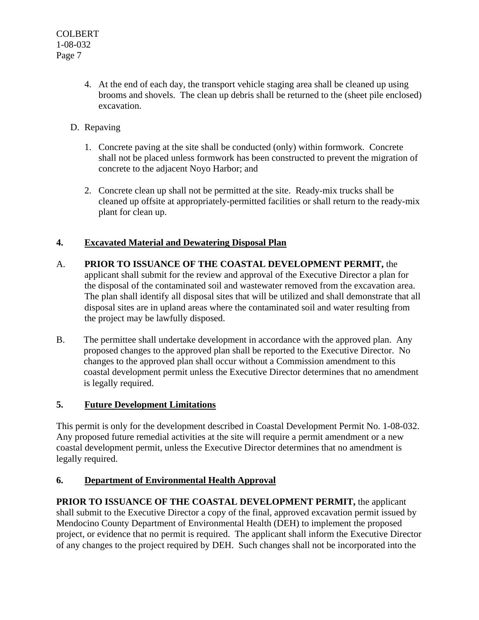- 4. At the end of each day, the transport vehicle staging area shall be cleaned up using brooms and shovels. The clean up debris shall be returned to the (sheet pile enclosed) excavation.
- D. Repaving
	- 1. Concrete paving at the site shall be conducted (only) within formwork. Concrete shall not be placed unless formwork has been constructed to prevent the migration of concrete to the adjacent Noyo Harbor; and
	- 2. Concrete clean up shall not be permitted at the site. Ready-mix trucks shall be cleaned up offsite at appropriately-permitted facilities or shall return to the ready-mix plant for clean up.

## **4. Excavated Material and Dewatering Disposal Plan**

- A. **PRIOR TO ISSUANCE OF THE COASTAL DEVELOPMENT PERMIT,** the applicant shall submit for the review and approval of the Executive Director a plan for the disposal of the contaminated soil and wastewater removed from the excavation area. The plan shall identify all disposal sites that will be utilized and shall demonstrate that all disposal sites are in upland areas where the contaminated soil and water resulting from the project may be lawfully disposed.
- B. The permittee shall undertake development in accordance with the approved plan. Any proposed changes to the approved plan shall be reported to the Executive Director. No changes to the approved plan shall occur without a Commission amendment to this coastal development permit unless the Executive Director determines that no amendment is legally required.

## **5. Future Development Limitations**

This permit is only for the development described in Coastal Development Permit No. 1-08-032. Any proposed future remedial activities at the site will require a permit amendment or a new coastal development permit, unless the Executive Director determines that no amendment is legally required.

## **6. Department of Environmental Health Approval**

**PRIOR TO ISSUANCE OF THE COASTAL DEVELOPMENT PERMIT,** the applicant shall submit to the Executive Director a copy of the final, approved excavation permit issued by Mendocino County Department of Environmental Health (DEH) to implement the proposed project, or evidence that no permit is required. The applicant shall inform the Executive Director of any changes to the project required by DEH. Such changes shall not be incorporated into the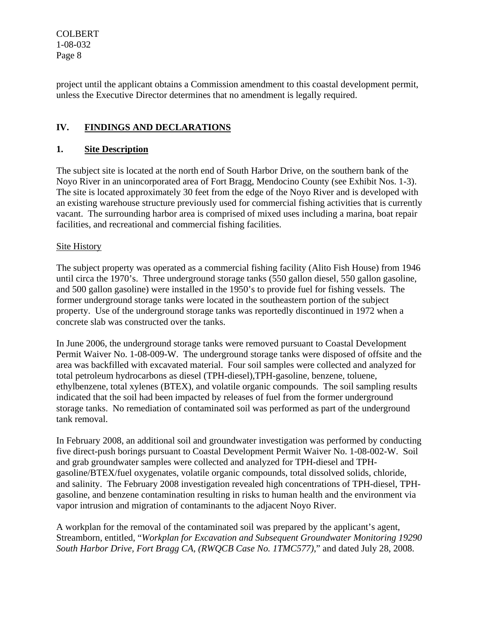project until the applicant obtains a Commission amendment to this coastal development permit, unless the Executive Director determines that no amendment is legally required.

## **IV. FINDINGS AND DECLARATIONS**

## **1. Site Description**

The subject site is located at the north end of South Harbor Drive, on the southern bank of the Noyo River in an unincorporated area of Fort Bragg, Mendocino County (see Exhibit Nos. 1-3). The site is located approximately 30 feet from the edge of the Noyo River and is developed with an existing warehouse structure previously used for commercial fishing activities that is currently vacant. The surrounding harbor area is comprised of mixed uses including a marina, boat repair facilities, and recreational and commercial fishing facilities.

### **Site History**

The subject property was operated as a commercial fishing facility (Alito Fish House) from 1946 until circa the 1970's. Three underground storage tanks (550 gallon diesel, 550 gallon gasoline, and 500 gallon gasoline) were installed in the 1950's to provide fuel for fishing vessels. The former underground storage tanks were located in the southeastern portion of the subject property. Use of the underground storage tanks was reportedly discontinued in 1972 when a concrete slab was constructed over the tanks.

In June 2006, the underground storage tanks were removed pursuant to Coastal Development Permit Waiver No. 1-08-009-W. The underground storage tanks were disposed of offsite and the area was backfilled with excavated material. Four soil samples were collected and analyzed for total petroleum hydrocarbons as diesel (TPH-diesel),TPH-gasoline, benzene, toluene, ethylbenzene, total xylenes (BTEX), and volatile organic compounds. The soil sampling results indicated that the soil had been impacted by releases of fuel from the former underground storage tanks. No remediation of contaminated soil was performed as part of the underground tank removal.

In February 2008, an additional soil and groundwater investigation was performed by conducting five direct-push borings pursuant to Coastal Development Permit Waiver No. 1-08-002-W. Soil and grab groundwater samples were collected and analyzed for TPH-diesel and TPHgasoline/BTEX/fuel oxygenates, volatile organic compounds, total dissolved solids, chloride, and salinity. The February 2008 investigation revealed high concentrations of TPH-diesel, TPHgasoline, and benzene contamination resulting in risks to human health and the environment via vapor intrusion and migration of contaminants to the adjacent Noyo River.

A workplan for the removal of the contaminated soil was prepared by the applicant's agent, Streamborn, entitled, "*Workplan for Excavation and Subsequent Groundwater Monitoring 19290 South Harbor Drive, Fort Bragg CA, (RWQCB Case No. 1TMC577)*," and dated July 28, 2008.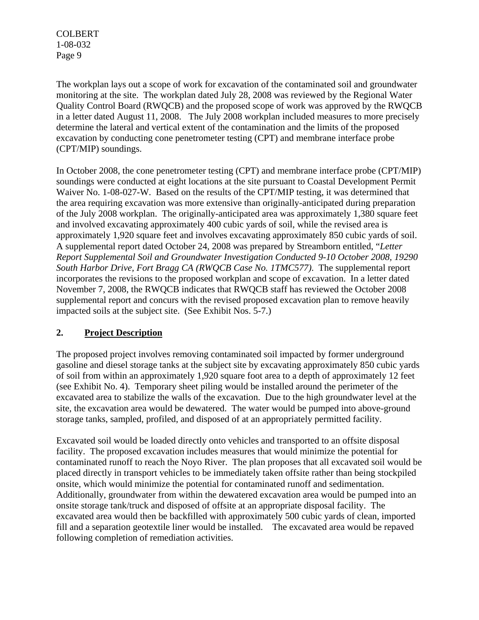The workplan lays out a scope of work for excavation of the contaminated soil and groundwater monitoring at the site. The workplan dated July 28, 2008 was reviewed by the Regional Water Quality Control Board (RWQCB) and the proposed scope of work was approved by the RWQCB in a letter dated August 11, 2008. The July 2008 workplan included measures to more precisely determine the lateral and vertical extent of the contamination and the limits of the proposed excavation by conducting cone penetrometer testing (CPT) and membrane interface probe (CPT/MIP) soundings.

In October 2008, the cone penetrometer testing (CPT) and membrane interface probe (CPT/MIP) soundings were conducted at eight locations at the site pursuant to Coastal Development Permit Waiver No. 1-08-027-W. Based on the results of the CPT/MIP testing, it was determined that the area requiring excavation was more extensive than originally-anticipated during preparation of the July 2008 workplan. The originally-anticipated area was approximately 1,380 square feet and involved excavating approximately 400 cubic yards of soil, while the revised area is approximately 1,920 square feet and involves excavating approximately 850 cubic yards of soil. A supplemental report dated October 24, 2008 was prepared by Streamborn entitled, "*Letter Report Supplemental Soil and Groundwater Investigation Conducted 9-10 October 2008, 19290 South Harbor Drive, Fort Bragg CA (RWQCB Case No. 1TMC577)*. The supplemental report incorporates the revisions to the proposed workplan and scope of excavation. In a letter dated November 7, 2008, the RWQCB indicates that RWQCB staff has reviewed the October 2008 supplemental report and concurs with the revised proposed excavation plan to remove heavily impacted soils at the subject site. (See Exhibit Nos. 5-7.)

## **2. Project Description**

The proposed project involves removing contaminated soil impacted by former underground gasoline and diesel storage tanks at the subject site by excavating approximately 850 cubic yards of soil from within an approximately 1,920 square foot area to a depth of approximately 12 feet (see Exhibit No. 4). Temporary sheet piling would be installed around the perimeter of the excavated area to stabilize the walls of the excavation. Due to the high groundwater level at the site, the excavation area would be dewatered. The water would be pumped into above-ground storage tanks, sampled, profiled, and disposed of at an appropriately permitted facility.

Excavated soil would be loaded directly onto vehicles and transported to an offsite disposal facility. The proposed excavation includes measures that would minimize the potential for contaminated runoff to reach the Noyo River. The plan proposes that all excavated soil would be placed directly in transport vehicles to be immediately taken offsite rather than being stockpiled onsite, which would minimize the potential for contaminated runoff and sedimentation. Additionally, groundwater from within the dewatered excavation area would be pumped into an onsite storage tank/truck and disposed of offsite at an appropriate disposal facility. The excavated area would then be backfilled with approximately 500 cubic yards of clean, imported fill and a separation geotextile liner would be installed. The excavated area would be repaved following completion of remediation activities.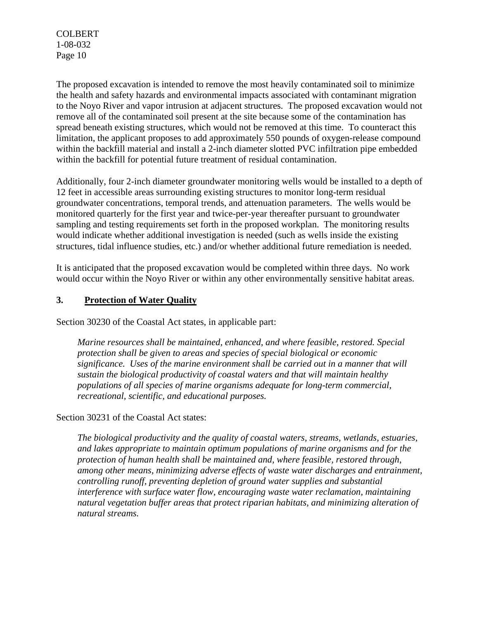The proposed excavation is intended to remove the most heavily contaminated soil to minimize the health and safety hazards and environmental impacts associated with contaminant migration to the Noyo River and vapor intrusion at adjacent structures. The proposed excavation would not remove all of the contaminated soil present at the site because some of the contamination has spread beneath existing structures, which would not be removed at this time. To counteract this limitation, the applicant proposes to add approximately 550 pounds of oxygen-release compound within the backfill material and install a 2-inch diameter slotted PVC infiltration pipe embedded within the backfill for potential future treatment of residual contamination.

Additionally, four 2-inch diameter groundwater monitoring wells would be installed to a depth of 12 feet in accessible areas surrounding existing structures to monitor long-term residual groundwater concentrations, temporal trends, and attenuation parameters. The wells would be monitored quarterly for the first year and twice-per-year thereafter pursuant to groundwater sampling and testing requirements set forth in the proposed workplan. The monitoring results would indicate whether additional investigation is needed (such as wells inside the existing structures, tidal influence studies, etc.) and/or whether additional future remediation is needed.

It is anticipated that the proposed excavation would be completed within three days. No work would occur within the Noyo River or within any other environmentally sensitive habitat areas.

## **3. Protection of Water Quality**

Section 30230 of the Coastal Act states, in applicable part:

*Marine resources shall be maintained, enhanced, and where feasible, restored. Special protection shall be given to areas and species of special biological or economic significance. Uses of the marine environment shall be carried out in a manner that will sustain the biological productivity of coastal waters and that will maintain healthy populations of all species of marine organisms adequate for long-term commercial, recreational, scientific, and educational purposes.* 

Section 30231 of the Coastal Act states:

*The biological productivity and the quality of coastal waters, streams, wetlands, estuaries, and lakes appropriate to maintain optimum populations of marine organisms and for the protection of human health shall be maintained and, where feasible, restored through, among other means, minimizing adverse effects of waste water discharges and entrainment, controlling runoff, preventing depletion of ground water supplies and substantial interference with surface water flow, encouraging waste water reclamation, maintaining natural vegetation buffer areas that protect riparian habitats, and minimizing alteration of natural streams.*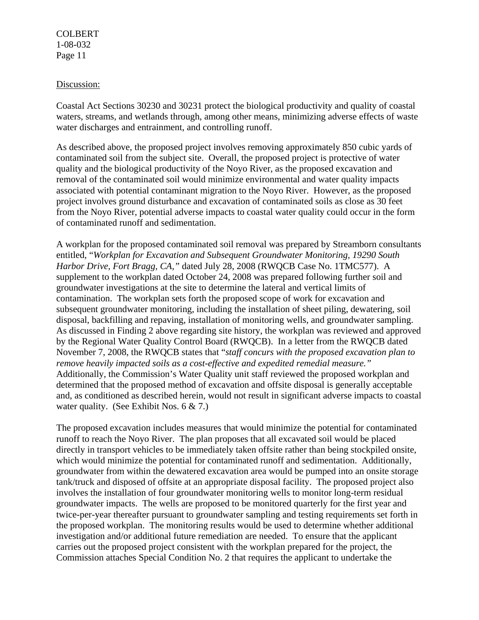#### Discussion:

Coastal Act Sections 30230 and 30231 protect the biological productivity and quality of coastal waters, streams, and wetlands through, among other means, minimizing adverse effects of waste water discharges and entrainment, and controlling runoff.

As described above, the proposed project involves removing approximately 850 cubic yards of contaminated soil from the subject site. Overall, the proposed project is protective of water quality and the biological productivity of the Noyo River, as the proposed excavation and removal of the contaminated soil would minimize environmental and water quality impacts associated with potential contaminant migration to the Noyo River. However, as the proposed project involves ground disturbance and excavation of contaminated soils as close as 30 feet from the Noyo River, potential adverse impacts to coastal water quality could occur in the form of contaminated runoff and sedimentation.

A workplan for the proposed contaminated soil removal was prepared by Streamborn consultants entitled, "*Workplan for Excavation and Subsequent Groundwater Monitoring, 19290 South Harbor Drive, Fort Bragg, CA,"* dated July 28, 2008 (RWQCB Case No. 1TMC577). A supplement to the workplan dated October 24, 2008 was prepared following further soil and groundwater investigations at the site to determine the lateral and vertical limits of contamination. The workplan sets forth the proposed scope of work for excavation and subsequent groundwater monitoring, including the installation of sheet piling, dewatering, soil disposal, backfilling and repaving, installation of monitoring wells, and groundwater sampling. As discussed in Finding 2 above regarding site history, the workplan was reviewed and approved by the Regional Water Quality Control Board (RWQCB). In a letter from the RWQCB dated November 7, 2008, the RWQCB states that "*staff concurs with the proposed excavation plan to remove heavily impacted soils as a cost-effective and expedited remedial measure."*  Additionally, the Commission's Water Quality unit staff reviewed the proposed workplan and determined that the proposed method of excavation and offsite disposal is generally acceptable and, as conditioned as described herein, would not result in significant adverse impacts to coastal water quality. (See Exhibit Nos. 6 & 7.)

The proposed excavation includes measures that would minimize the potential for contaminated runoff to reach the Noyo River. The plan proposes that all excavated soil would be placed directly in transport vehicles to be immediately taken offsite rather than being stockpiled onsite, which would minimize the potential for contaminated runoff and sedimentation. Additionally, groundwater from within the dewatered excavation area would be pumped into an onsite storage tank/truck and disposed of offsite at an appropriate disposal facility. The proposed project also involves the installation of four groundwater monitoring wells to monitor long-term residual groundwater impacts. The wells are proposed to be monitored quarterly for the first year and twice-per-year thereafter pursuant to groundwater sampling and testing requirements set forth in the proposed workplan. The monitoring results would be used to determine whether additional investigation and/or additional future remediation are needed. To ensure that the applicant carries out the proposed project consistent with the workplan prepared for the project, the Commission attaches Special Condition No. 2 that requires the applicant to undertake the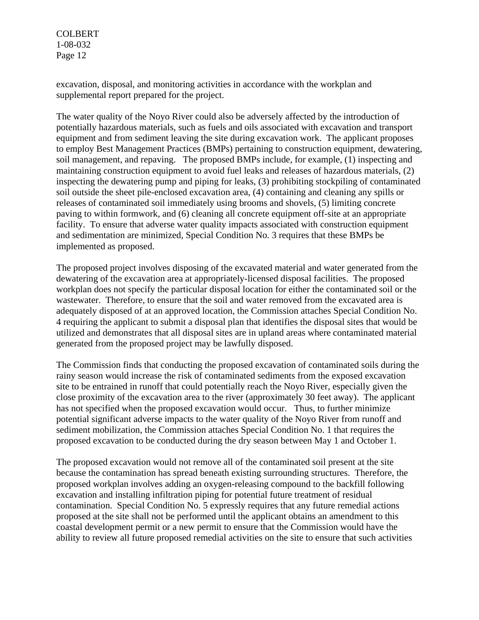excavation, disposal, and monitoring activities in accordance with the workplan and supplemental report prepared for the project.

The water quality of the Noyo River could also be adversely affected by the introduction of potentially hazardous materials, such as fuels and oils associated with excavation and transport equipment and from sediment leaving the site during excavation work. The applicant proposes to employ Best Management Practices (BMPs) pertaining to construction equipment, dewatering, soil management, and repaving. The proposed BMPs include, for example, (1) inspecting and maintaining construction equipment to avoid fuel leaks and releases of hazardous materials, (2) inspecting the dewatering pump and piping for leaks, (3) prohibiting stockpiling of contaminated soil outside the sheet pile-enclosed excavation area, (4) containing and cleaning any spills or releases of contaminated soil immediately using brooms and shovels, (5) limiting concrete paving to within formwork, and (6) cleaning all concrete equipment off-site at an appropriate facility. To ensure that adverse water quality impacts associated with construction equipment and sedimentation are minimized, Special Condition No. 3 requires that these BMPs be implemented as proposed.

The proposed project involves disposing of the excavated material and water generated from the dewatering of the excavation area at appropriately-licensed disposal facilities. The proposed workplan does not specify the particular disposal location for either the contaminated soil or the wastewater. Therefore, to ensure that the soil and water removed from the excavated area is adequately disposed of at an approved location, the Commission attaches Special Condition No. 4 requiring the applicant to submit a disposal plan that identifies the disposal sites that would be utilized and demonstrates that all disposal sites are in upland areas where contaminated material generated from the proposed project may be lawfully disposed.

The Commission finds that conducting the proposed excavation of contaminated soils during the rainy season would increase the risk of contaminated sediments from the exposed excavation site to be entrained in runoff that could potentially reach the Noyo River, especially given the close proximity of the excavation area to the river (approximately 30 feet away). The applicant has not specified when the proposed excavation would occur. Thus, to further minimize potential significant adverse impacts to the water quality of the Noyo River from runoff and sediment mobilization, the Commission attaches Special Condition No. 1 that requires the proposed excavation to be conducted during the dry season between May 1 and October 1.

The proposed excavation would not remove all of the contaminated soil present at the site because the contamination has spread beneath existing surrounding structures. Therefore, the proposed workplan involves adding an oxygen-releasing compound to the backfill following excavation and installing infiltration piping for potential future treatment of residual contamination. Special Condition No. 5 expressly requires that any future remedial actions proposed at the site shall not be performed until the applicant obtains an amendment to this coastal development permit or a new permit to ensure that the Commission would have the ability to review all future proposed remedial activities on the site to ensure that such activities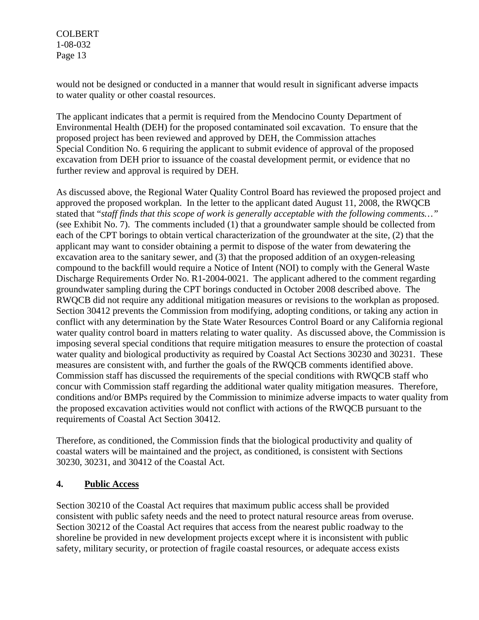would not be designed or conducted in a manner that would result in significant adverse impacts to water quality or other coastal resources.

The applicant indicates that a permit is required from the Mendocino County Department of Environmental Health (DEH) for the proposed contaminated soil excavation. To ensure that the proposed project has been reviewed and approved by DEH, the Commission attaches Special Condition No. 6 requiring the applicant to submit evidence of approval of the proposed excavation from DEH prior to issuance of the coastal development permit, or evidence that no further review and approval is required by DEH.

As discussed above, the Regional Water Quality Control Board has reviewed the proposed project and approved the proposed workplan. In the letter to the applicant dated August 11, 2008, the RWQCB stated that "*staff finds that this scope of work is generally acceptable with the following comments…"* (see Exhibit No. 7). The comments included (1) that a groundwater sample should be collected from each of the CPT borings to obtain vertical characterization of the groundwater at the site, (2) that the applicant may want to consider obtaining a permit to dispose of the water from dewatering the excavation area to the sanitary sewer, and (3) that the proposed addition of an oxygen-releasing compound to the backfill would require a Notice of Intent (NOI) to comply with the General Waste Discharge Requirements Order No. R1-2004-0021. The applicant adhered to the comment regarding groundwater sampling during the CPT borings conducted in October 2008 described above. The RWQCB did not require any additional mitigation measures or revisions to the workplan as proposed. Section 30412 prevents the Commission from modifying, adopting conditions, or taking any action in conflict with any determination by the State Water Resources Control Board or any California regional water quality control board in matters relating to water quality. As discussed above, the Commission is imposing several special conditions that require mitigation measures to ensure the protection of coastal water quality and biological productivity as required by Coastal Act Sections 30230 and 30231. These measures are consistent with, and further the goals of the RWQCB comments identified above. Commission staff has discussed the requirements of the special conditions with RWQCB staff who concur with Commission staff regarding the additional water quality mitigation measures. Therefore, conditions and/or BMPs required by the Commission to minimize adverse impacts to water quality from the proposed excavation activities would not conflict with actions of the RWQCB pursuant to the requirements of Coastal Act Section 30412.

Therefore, as conditioned, the Commission finds that the biological productivity and quality of coastal waters will be maintained and the project, as conditioned, is consistent with Sections 30230, 30231, and 30412 of the Coastal Act.

## **4. Public Access**

Section 30210 of the Coastal Act requires that maximum public access shall be provided consistent with public safety needs and the need to protect natural resource areas from overuse. Section 30212 of the Coastal Act requires that access from the nearest public roadway to the shoreline be provided in new development projects except where it is inconsistent with public safety, military security, or protection of fragile coastal resources, or adequate access exists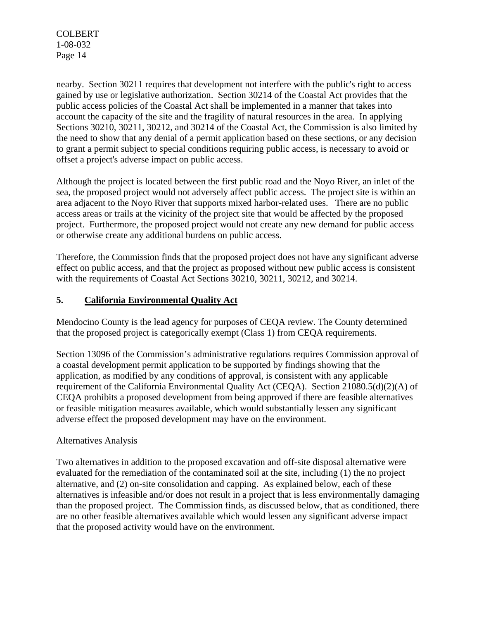nearby. Section 30211 requires that development not interfere with the public's right to access gained by use or legislative authorization. Section 30214 of the Coastal Act provides that the public access policies of the Coastal Act shall be implemented in a manner that takes into account the capacity of the site and the fragility of natural resources in the area. In applying Sections 30210, 30211, 30212, and 30214 of the Coastal Act, the Commission is also limited by the need to show that any denial of a permit application based on these sections, or any decision to grant a permit subject to special conditions requiring public access, is necessary to avoid or offset a project's adverse impact on public access.

Although the project is located between the first public road and the Noyo River, an inlet of the sea, the proposed project would not adversely affect public access. The project site is within an area adjacent to the Noyo River that supports mixed harbor-related uses. There are no public access areas or trails at the vicinity of the project site that would be affected by the proposed project. Furthermore, the proposed project would not create any new demand for public access or otherwise create any additional burdens on public access.

Therefore, the Commission finds that the proposed project does not have any significant adverse effect on public access, and that the project as proposed without new public access is consistent with the requirements of Coastal Act Sections 30210, 30211, 30212, and 30214.

## **5. California Environmental Quality Act**

Mendocino County is the lead agency for purposes of CEQA review. The County determined that the proposed project is categorically exempt (Class 1) from CEQA requirements.

Section 13096 of the Commission's administrative regulations requires Commission approval of a coastal development permit application to be supported by findings showing that the application, as modified by any conditions of approval, is consistent with any applicable requirement of the California Environmental Quality Act (CEQA). Section 21080.5(d)(2)(A) of CEQA prohibits a proposed development from being approved if there are feasible alternatives or feasible mitigation measures available, which would substantially lessen any significant adverse effect the proposed development may have on the environment.

### Alternatives Analysis

Two alternatives in addition to the proposed excavation and off-site disposal alternative were evaluated for the remediation of the contaminated soil at the site, including (1) the no project alternative, and (2) on-site consolidation and capping. As explained below, each of these alternatives is infeasible and/or does not result in a project that is less environmentally damaging than the proposed project. The Commission finds, as discussed below, that as conditioned, there are no other feasible alternatives available which would lessen any significant adverse impact that the proposed activity would have on the environment.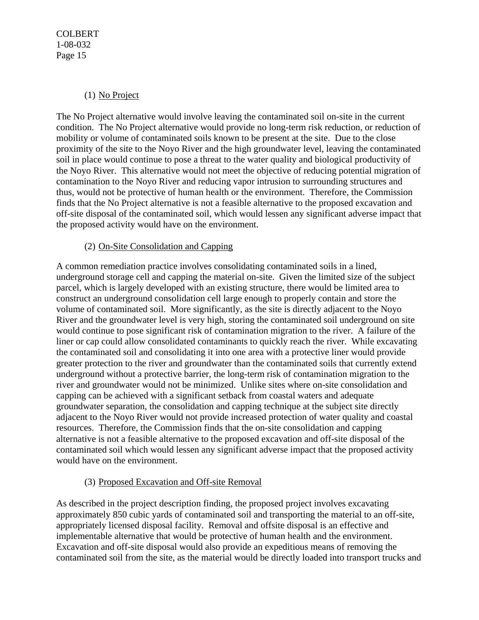## (1) No Project

The No Project alternative would involve leaving the contaminated soil on-site in the current condition. The No Project alternative would provide no long-term risk reduction, or reduction of mobility or volume of contaminated soils known to be present at the site. Due to the close proximity of the site to the Noyo River and the high groundwater level, leaving the contaminated soil in place would continue to pose a threat to the water quality and biological productivity of the Noyo River. This alternative would not meet the objective of reducing potential migration of contamination to the Noyo River and reducing vapor intrusion to surrounding structures and thus, would not be protective of human health or the environment. Therefore, the Commission finds that the No Project alternative is not a feasible alternative to the proposed excavation and off-site disposal of the contaminated soil, which would lessen any significant adverse impact that the proposed activity would have on the environment.

## (2) On-Site Consolidation and Capping

A common remediation practice involves consolidating contaminated soils in a lined, underground storage cell and capping the material on-site. Given the limited size of the subject parcel, which is largely developed with an existing structure, there would be limited area to construct an underground consolidation cell large enough to properly contain and store the volume of contaminated soil. More significantly, as the site is directly adjacent to the Noyo River and the groundwater level is very high, storing the contaminated soil underground on site would continue to pose significant risk of contamination migration to the river. A failure of the liner or cap could allow consolidated contaminants to quickly reach the river. While excavating the contaminated soil and consolidating it into one area with a protective liner would provide greater protection to the river and groundwater than the contaminated soils that currently extend underground without a protective barrier, the long-term risk of contamination migration to the river and groundwater would not be minimized. Unlike sites where on-site consolidation and capping can be achieved with a significant setback from coastal waters and adequate groundwater separation, the consolidation and capping technique at the subject site directly adjacent to the Noyo River would not provide increased protection of water quality and coastal resources. Therefore, the Commission finds that the on-site consolidation and capping alternative is not a feasible alternative to the proposed excavation and off-site disposal of the contaminated soil which would lessen any significant adverse impact that the proposed activity would have on the environment.

## (3) Proposed Excavation and Off-site Removal

As described in the project description finding, the proposed project involves excavating approximately 850 cubic yards of contaminated soil and transporting the material to an off-site, appropriately licensed disposal facility. Removal and offsite disposal is an effective and implementable alternative that would be protective of human health and the environment. Excavation and off-site disposal would also provide an expeditious means of removing the contaminated soil from the site, as the material would be directly loaded into transport trucks and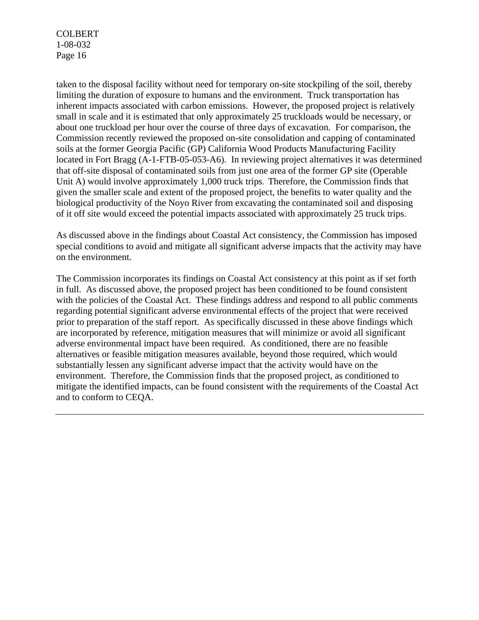taken to the disposal facility without need for temporary on-site stockpiling of the soil, thereby limiting the duration of exposure to humans and the environment. Truck transportation has inherent impacts associated with carbon emissions. However, the proposed project is relatively small in scale and it is estimated that only approximately 25 truckloads would be necessary, or about one truckload per hour over the course of three days of excavation. For comparison, the Commission recently reviewed the proposed on-site consolidation and capping of contaminated soils at the former Georgia Pacific (GP) California Wood Products Manufacturing Facility located in Fort Bragg (A-1-FTB-05-053-A6). In reviewing project alternatives it was determined that off-site disposal of contaminated soils from just one area of the former GP site (Operable Unit A) would involve approximately 1,000 truck trips. Therefore, the Commission finds that given the smaller scale and extent of the proposed project, the benefits to water quality and the biological productivity of the Noyo River from excavating the contaminated soil and disposing of it off site would exceed the potential impacts associated with approximately 25 truck trips.

As discussed above in the findings about Coastal Act consistency, the Commission has imposed special conditions to avoid and mitigate all significant adverse impacts that the activity may have on the environment.

The Commission incorporates its findings on Coastal Act consistency at this point as if set forth in full. As discussed above, the proposed project has been conditioned to be found consistent with the policies of the Coastal Act. These findings address and respond to all public comments regarding potential significant adverse environmental effects of the project that were received prior to preparation of the staff report. As specifically discussed in these above findings which are incorporated by reference, mitigation measures that will minimize or avoid all significant adverse environmental impact have been required. As conditioned, there are no feasible alternatives or feasible mitigation measures available, beyond those required, which would substantially lessen any significant adverse impact that the activity would have on the environment. Therefore, the Commission finds that the proposed project, as conditioned to mitigate the identified impacts, can be found consistent with the requirements of the Coastal Act and to conform to CEQA.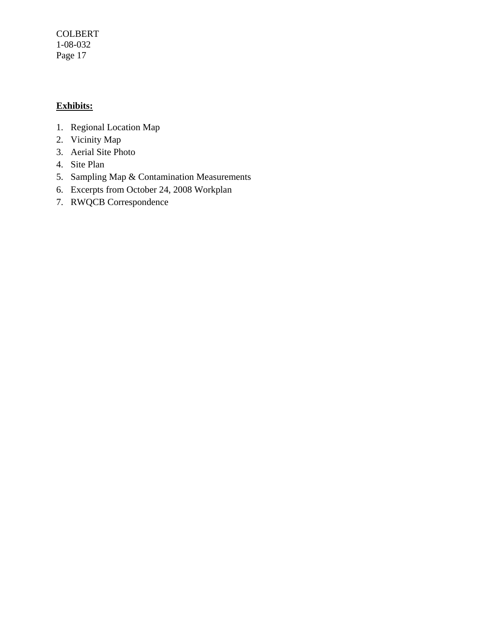## **Exhibits:**

- 1. Regional Location Map
- 2. Vicinity Map
- 3. Aerial Site Photo
- 4. Site Plan
- 5. Sampling Map & Contamination Measurements
- 6. Excerpts from October 24, 2008 Workplan
- 7. RWQCB Correspondence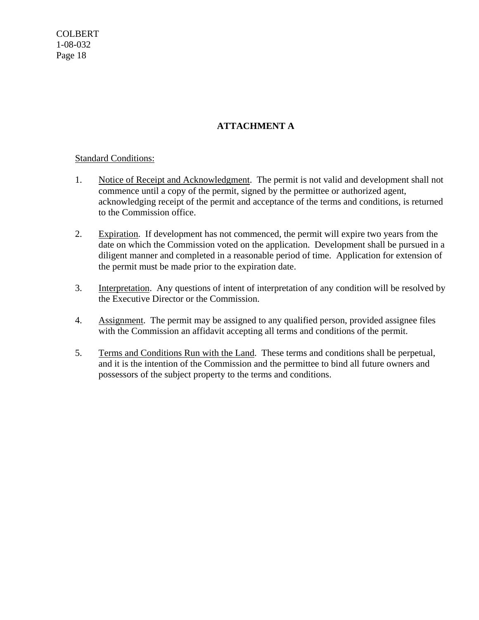## **ATTACHMENT A**

### Standard Conditions:

- 1. Notice of Receipt and Acknowledgment. The permit is not valid and development shall not commence until a copy of the permit, signed by the permittee or authorized agent, acknowledging receipt of the permit and acceptance of the terms and conditions, is returned to the Commission office.
- 2. Expiration. If development has not commenced, the permit will expire two years from the date on which the Commission voted on the application. Development shall be pursued in a diligent manner and completed in a reasonable period of time. Application for extension of the permit must be made prior to the expiration date.
- 3. Interpretation. Any questions of intent of interpretation of any condition will be resolved by the Executive Director or the Commission.
- 4. Assignment. The permit may be assigned to any qualified person, provided assignee files with the Commission an affidavit accepting all terms and conditions of the permit.
- 5. Terms and Conditions Run with the Land. These terms and conditions shall be perpetual, and it is the intention of the Commission and the permittee to bind all future owners and possessors of the subject property to the terms and conditions.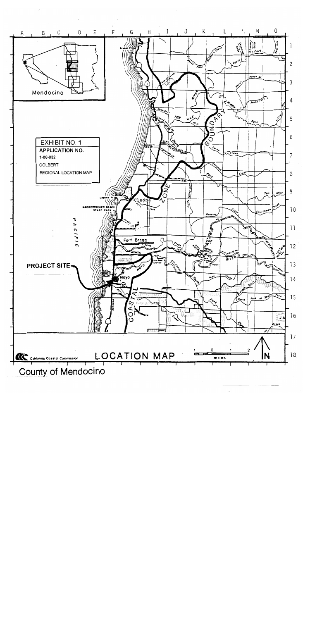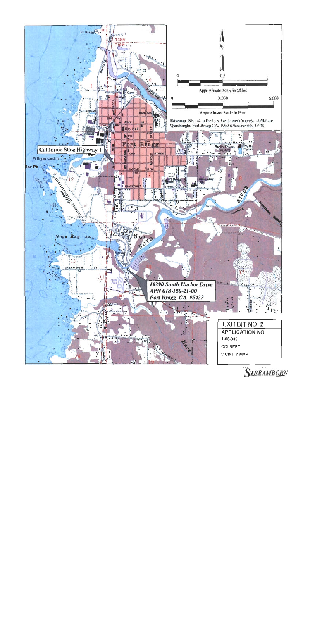

**STREAMBORN**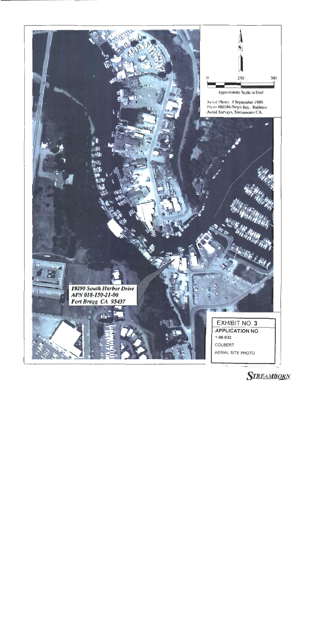

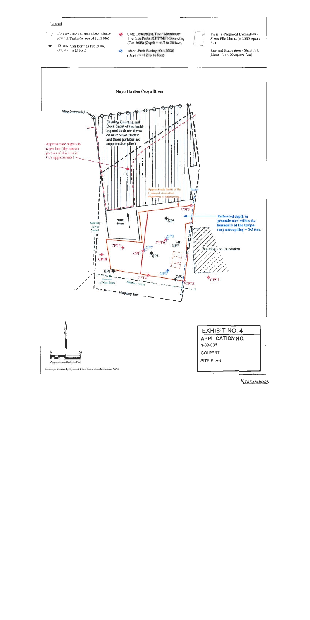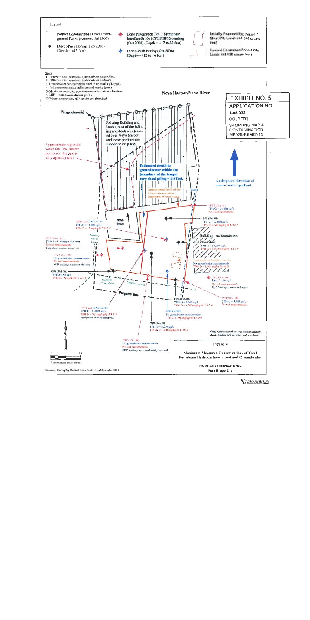

**STREAMBORN**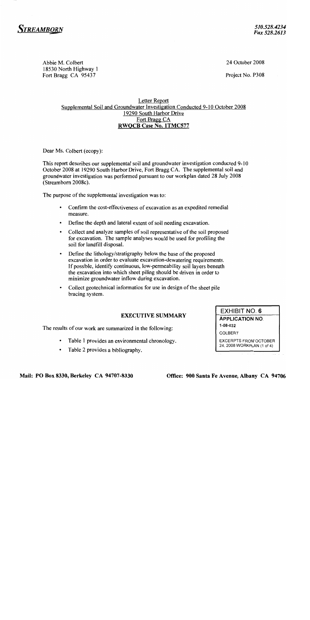

24 October 2008

Project No. P308

#### Letter Report Supplemental Soil and Groundwater Investigation Conducted 9-10 October 2008 19290 South Harbor Drive Fort Bragg CA **RWQCB Case No. 1TMC577**

Dear Ms. Colbert (ecopy):

Abbie M. Colbert

18530 North Highway 1 Fort Bragg CA 95437

This report describes our supplemental soil and groundwater investigation conducted 9-10 October 2008 at 19290 South Harbor Drive, Fort Bragg CA. The supplemental soil and groundwater investigation was performed pursuant to our workplan dated 28 July 2008 (Streamborn 2008c).

The purpose of the supplemental investigation was to:

- Confirm the cost-effectiveness of excavation as an expedited remedial measure.
- Define the depth and lateral extent of soil needing excavation.
- Collect and analyze samples of soil representative of the soil proposed for excavation. The sample analyses would be used for profiling the soil for landfill disposal.
- Define the lithology/stratigraphy below the base of the proposed excavation in order to evaluate excavation-dewatering requirements. If possible, identify continuous, low-permeability soil layers beneath the excavation into which sheet piling should be driven in order to minimize groundwater inflow during excavation.
- Collect geotechnical information for use in design of the sheet pile bracing system.

#### **EXECUTIVE SUMMARY**

The results of our work are summarized in the following:

- Table 1 provides an environmental chronology.
- Table 2 provides a bibliography.

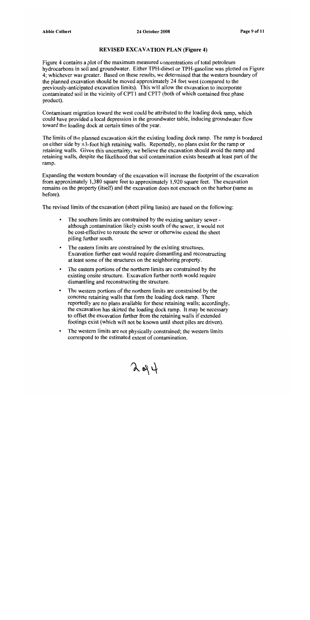#### **REVISED EXCAVATION PLAN (Figure 4)**

Figure 4 contains a plot of the maximum measured concentrations of total petroleum hydrocarbons in soil and groundwater. Either TPH-diesel or TPH-gasoline was plotted on Figure 4; whichever was greater. Based on these results, we determined that the western boundary of the planned excavation should be moved approximately 24 feet west (compared to the previously-anticipated excavation limits). This will allow the excavation to incorporate contaminated soil in the vicinity of CPT1 and CPT7 (both of which contained free phase product).

Contaminant migration toward the west could be attributed to the loading dock ramp, which could have provided a local depression in the groundwater table, inducing groundwater flow toward the loading dock at certain times of the year.

The limits of the planned excavation skirt the existing loading dock ramp. The ramp is bordered on either side by  $\pm 3$ -foot high retaining walls. Reportedly, no plans exist for the ramp or retaining walls. Given this uncertainty, we believe the excavation should avoid the ramp and retaining walls, despite the likelihood that soil contamination exists beneath at least part of the ramp.

Expanding the western boundary of the excavation will increase the footprint of the excavation from approximately 1,380 square feet to approximately 1,920 square feet. The excavation remains on the property (itself) and the excavation does not encroach on the harbor (same as before).

The revised limits of the excavation (sheet piling limits) are based on the following:

- $\bullet$ The southern limits are constrained by the existing sanitary sewer although contamination likely exists south of the sewer, it would not be cost-effective to reroute the sewer or otherwise extend the sheet piling further south.
- The eastern limits are constrained by the existing structures. Excavation further east would require dismantling and reconstructing at least some of the structures on the neighboring property.
- The eastern portions of the northern limits are constrained by the existing onsite structure. Excavation further north would require dismantling and reconstructing the structure.
- The western portions of the northern limits are constrained by the concrete retaining walls that form the loading dock ramp. There reportedly are no plans available for these retaining walls; accordingly, the excavation has skirted the loading dock ramp. It may be necessary to offset the excavation further from the retaining walls if extended footings exist (which will not be known until sheet piles are driven).
- The western limits are not physically constrained; the western limits correspond to the estimated extent of contamination.

 $\lambda$  of  $\psi$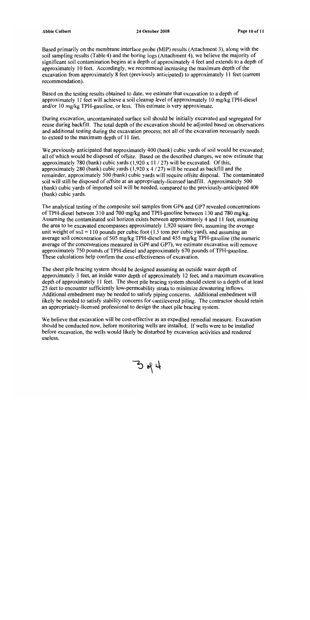Based primarily on the membrane interface probe (MIP) results (Attachment 3), along with the soil sampling results (Table 4) and the boring logs (Attachment 4), we believe the majority of significant soil contamination begins at a depth of approximately 4 feet and extends to a depth of approximately 10 feet. Accordingly, we recommend increasing the maximum depth of the excavation from approximately 8 feet (previously anticipated) to approximately 11 feet (current recommendation).

Based on the testing results obtained to date, we estimate that excavation to a depth of approximately 11 feet will achieve a soil cleanup level of approximately 10 mg/kg TPH-diesel and/or 10 mg/kg TPH-gasoline, or less. This estimate is very approximate.

During excavation, uncontaminated surface soil should be initially excavated and segregated for reuse during backfill. The total depth of the excavation should be adjusted based on observations and additional testing during the excavation process; not all of the excavation necessarily needs to extend to the maximum depth of 11 feet.

We previously anticipated that approximately 400 (bank) cubic vards of soil would be excavated; all of which would be disposed of offsite. Based on the described changes, we now estimate that approximately 780 (bank) cubic vards  $(1.920 \times 11 / 27)$  will be excavated. Of this, approximately 280 (bank) cubic yards  $(1,920 \times 4 / 27)$  will be reused as backfill and the remainder, approximately 500 (bank) cubic vards will require offsite disposal. The contaminated soil will still be disposed of offsite at an appropriately-licensed landfill. Approximately 500 (bank) cubic yards of imported soil will be needed, compared to the previously-anticipated 400 (bank) cubic yards.

The analytical testing of the composite soil samples from GP6 and GP7 revealed concentrations of TPH-diesel between 310 and 700 mg/kg and TPH-gasoline between 130 and 780 mg/kg. Assuming the contaminated soil horizon exists between approximately 4 and 11 feet, assuming the area to be excavated encompasses approximately 1,920 square feet, assuming the average unit weight of soil = 110 pounds per cubic foot  $(1.5 \text{ tons per cubic yard})$ , and assuming an average soil concentration of 505 mg/kg TPH-diesel and 455 mg/kg TPH-gasoline (the numeric average of the concentrations measured in GP6 and GP7), we estimate excavation will remove approximately 750 pounds of TPH-diesel and approximately 670 pounds of TPH-gasoline. These calculations help confirm the cost-effectiveness of excavation.

The sheet pile bracing system should be designed assuming an outside water depth of approximately 3 feet, an inside water depth of approximately 12 feet, and a maximum excavation depth of approximately 11 feet. The sheet pile bracing system should extent to a depth of at least 25 feet to encounter sufficiently low-permeability strata to minimize dewatering inflows. Additional embedment may be needed to satisfy piping concerns. Additional embedment will likely be needed to satisfy stability concerns for cantilevered piling. The contractor should retain an appropriately-licensed professional to design the sheet pile bracing system.

We believe that excavation will be cost-effective as an expedited remedial measure. Excavation should be conducted now, before monitoring wells are installed. If wells were to be installed before excavation, the wells would likely be disturbed by excavation activities and rendered useless.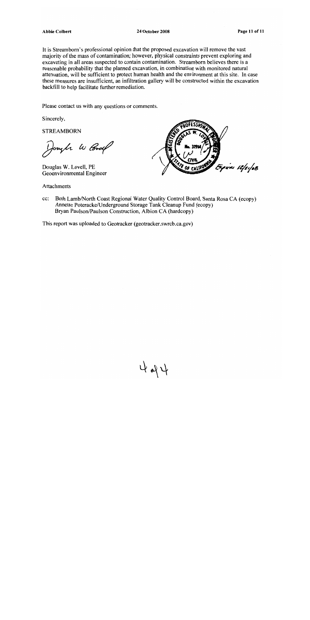#### **Abbie Colbert**

#### **24 October 2008**

It is Streamborn's professional opinion that the proposed excavation will remove the vast majority of the mass of contamination; however, physical constraints prevent exploring and excavating in all areas suspected to contain contamination. Streamborn believes there is a reasonable probability that the planned excavation, in combination with monitored natural attenuation, will be sufficient to protect human health and the environment at this site. In case these measures are insufficient, an infiltration gallery will be constructed within the excavation backfill to help facilitate further remediation.

Please contact us with any questions or comments.

Sincerely,

**STREAMBORN** 

Joseph W Cord

Douglas W. Lovell, PE Geoenvironmental Engineer

Attachments



Beth Lamb/North Coast Regional Water Quality Control Board, Santa Rosa CA (ecopy) cc: Annette Poteracke/Underground Storage Tank Cleanup Fund (ecopy) Bryan Paulson/Paulson Construction, Albion CA (hardcopy)

424

This report was uploaded to Geotracker (geotracker.swrcb.ca.gov)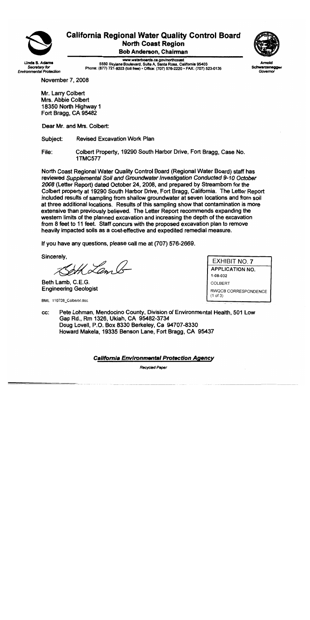

# **California Regional Water Quality Control Board North Coast Region**

**Bob Anderson, Chairman** 

Linda S. Adamı Secretary for **Environmental Protection** 

www.waterboards.ca.gov/northcoast 5550 Skylane Boulevard, Sulte A, Santa Rosa, California 95403 Phone: (877) 721-9203 (toll free) · Office: (707) 576-2220 · FAX: (707) 523-0135



Schwarzenegger Governor

**November 7, 2008** 

Mr. Larry Colbert Mrs. Abbie Colbert 18350 North Highway 1 Fort Bragg, CA 95482

Dear Mr. and Mrs. Colbert:

Subject: **Revised Excavation Work Plan** 

File: Colbert Property, 19290 South Harbor Drive, Fort Bragg, Case No. **1TMC577** 

North Coast Regional Water Quality Control Board (Regional Water Board) staff has reviewed Supplemental Soil and Groundwater Investigation Conducted 9-10 October 2008 (Letter Report) dated October 24, 2008, and prepared by Streamborn for the Colbert property at 19290 South Harbor Drive, Fort Bragg, California. The Letter Report included results of sampling from shallow groundwater at seven locations and from soil at three additional locations. Results of this sampling show that contamination is more extensive than previously believed. The Letter Report recommends expanding the western limits of the planned excavation and increasing the depth of the excavation from 8 feet to 11 feet. Staff concurs with the proposed excavation plan to remove heavily impacted soils as a cost-effective and expedited remedial measure.

If you have any questions, please call me at (707) 576-2669.

Sincerely,

H Lam A

Beth Lamb, C.E.G. **Engineering Geologist** 

BML. 110708\_Colbert4.doc

EXHIBIT NO. 7 **APPLICATION NO.** 1-08-032 **COLBERT** RWQCB CORRESPONDENCE  $(1 of 3)$ 

Pete Lohman, Mendocino County, Division of Environmental Health, 501 Low CC: Gap Rd., Rm 1326, Ukiah, CA 95482-3734 Doug Lovell, P.O. Box 8330 Berkeley, Ca 94707-8330 Howard Makela, 19335 Benson Lane, Fort Bragg, CA 95437

California Environmental Protection Agency

Recycled Paper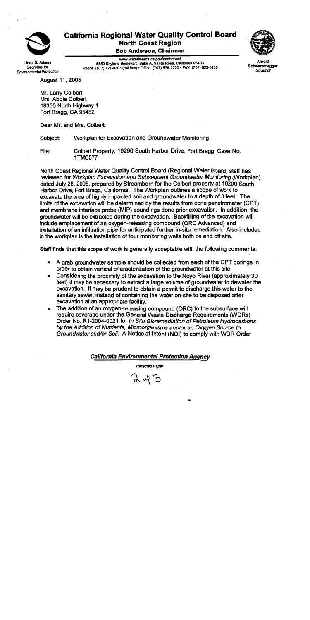

# **California Regional Water Quality Control Board North Coast Region**

**Bob Anderson, Chairman** 

inda S. Adama Secretary for **Environmental Protection** 

www.waterboards.ca.gov/northcoast 5550 Skylane Boulevard, Suite A, Santa Rosa, California 95403 Phone: (877) 721-9203 (toll free) · Office: (707) 576-2220 · FAX: (707) 523-0135



Schwarzenegge Governor

**August 11, 2008** 

Mr. Larry Colbert Mrs. Abbie Colbert 18350 North Highway 1 Fort Bragg. CA 95482

Dear Mr. and Mrs. Colbert:

Workplan for Excavation and Groundwater Monitoring Subject:

Colbert Property, 19290 South Harbor Drive, Fort Bragg, Case No. File: **1TMC577** 

North Coast Regional Water Quality Control Board (Regional Water Board) staff has reviewed for Workplan Excavation and Subsequent Groundwater Monitoring (Workplan) dated July 28, 2008, prepared by Streamborn for the Colbert property at 19290 South Harbor Drive, Fort Bragg, California. The Workplan outlines a scope of work to excavate the area of highly impacted soil and groundwater to a depth of 8 feet. The limits of the excavation will be determined by the results from cone penetrometer (CPT) and membrane interface probe (MIP) soundings done prior excavation. In addition, the aroundwater will be extracted during the excavation. Backfilling of the excavation will include emplacement of an oxygen-releasing compound (ORC Advanced) and installation of an infiltration pipe for anticipated further in-situ remediation. Also included in the workplan is the installation of four monitoring wells both on and off site.

Staff finds that this scope of work is generally acceptable with the following comments:

- A grab groundwater sample should be collected from each of the CPT borings in  $\bullet$ order to obtain vertical characterization of the groundwater at this site.
- Considering the proximity of the excavation to the Noyo River (approximately 30)  $\bullet$ feet) it may be necessary to extract a large volume of groundwater to dewater the excavation. It may be prudent to obtain a permit to discharge this water to the sanitary sewer, instead of containing the water on-site to be disposed after excavation at an appropriate facility.
- The addition of an oxygen-releasing compound (ORC) to the subsurface will  $\bullet$ require coverage under the General Waste Discharge Requirements (WDRs) Order No. R1-2004-0021 for In Situ Bioremediation of Petroleum Hydrocarbons by the Addition of Nutrients, Microorganisms and/or an Oxygen Source to Groundwater and/or Soil. A Notice of Intent (NOI) to comply with WDR Order

#### **California Environmental Protection Agency**

Recycled Paper

ふれふ